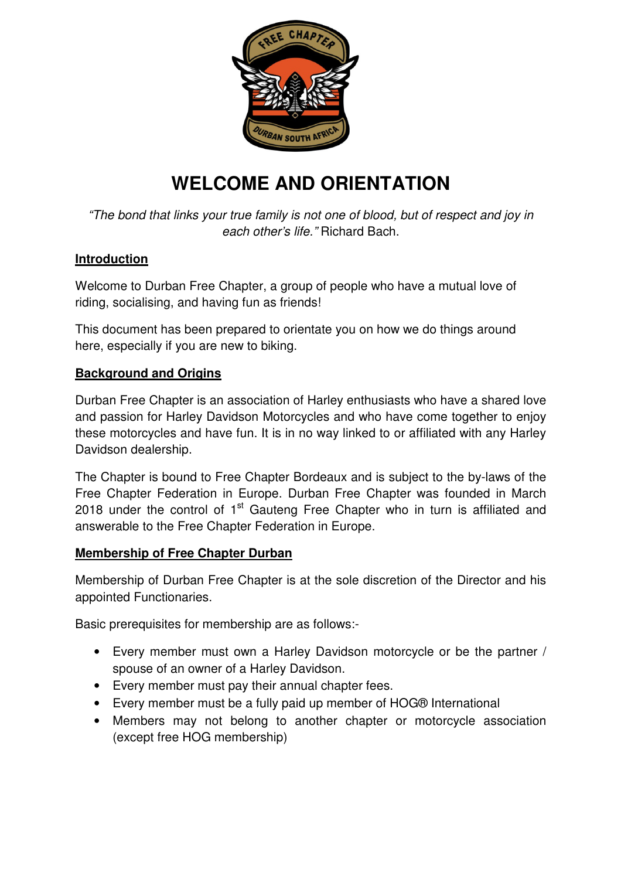

# **WELCOME AND ORIENTATION**

"The bond that links your true family is not one of blood, but of respect and joy in each other's life." Richard Bach.

## **Introduction**

Welcome to Durban Free Chapter, a group of people who have a mutual love of riding, socialising, and having fun as friends!

This document has been prepared to orientate you on how we do things around here, especially if you are new to biking.

# **Background and Origins**

Durban Free Chapter is an association of Harley enthusiasts who have a shared love and passion for Harley Davidson Motorcycles and who have come together to enjoy these motorcycles and have fun. It is in no way linked to or affiliated with any Harley Davidson dealership.

The Chapter is bound to Free Chapter Bordeaux and is subject to the by-laws of the Free Chapter Federation in Europe. Durban Free Chapter was founded in March 2018 under the control of  $1<sup>st</sup>$  Gauteng Free Chapter who in turn is affiliated and answerable to the Free Chapter Federation in Europe.

## **Membership of Free Chapter Durban**

Membership of Durban Free Chapter is at the sole discretion of the Director and his appointed Functionaries.

Basic prerequisites for membership are as follows:-

- Every member must own a Harley Davidson motorcycle or be the partner / spouse of an owner of a Harley Davidson.
- Every member must pay their annual chapter fees.
- Every member must be a fully paid up member of HOG® International
- Members may not belong to another chapter or motorcycle association (except free HOG membership)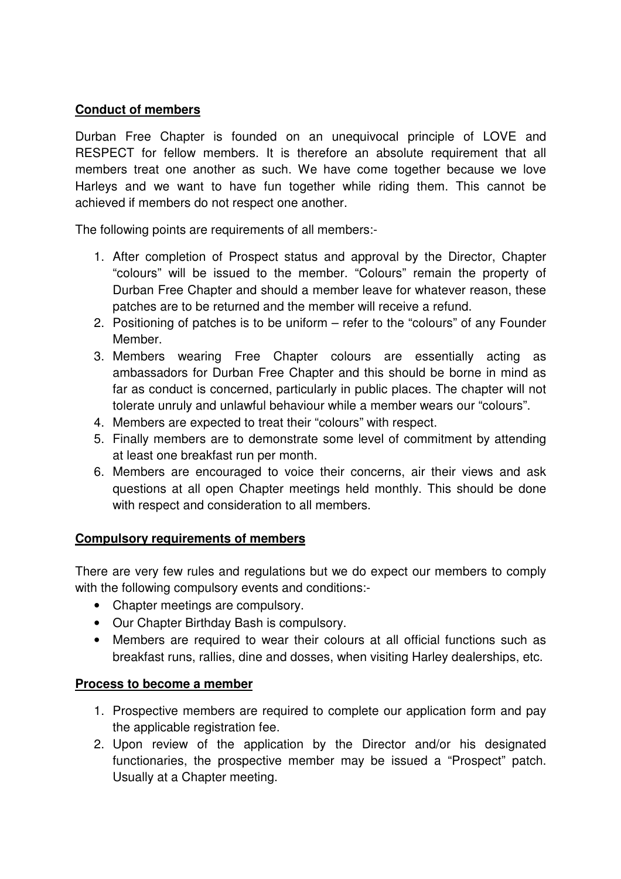#### **Conduct of members**

Durban Free Chapter is founded on an unequivocal principle of LOVE and RESPECT for fellow members. It is therefore an absolute requirement that all members treat one another as such. We have come together because we love Harleys and we want to have fun together while riding them. This cannot be achieved if members do not respect one another.

The following points are requirements of all members:-

- 1. After completion of Prospect status and approval by the Director, Chapter "colours" will be issued to the member. "Colours" remain the property of Durban Free Chapter and should a member leave for whatever reason, these patches are to be returned and the member will receive a refund.
- 2. Positioning of patches is to be uniform refer to the "colours" of any Founder Member.
- 3. Members wearing Free Chapter colours are essentially acting as ambassadors for Durban Free Chapter and this should be borne in mind as far as conduct is concerned, particularly in public places. The chapter will not tolerate unruly and unlawful behaviour while a member wears our "colours".
- 4. Members are expected to treat their "colours" with respect.
- 5. Finally members are to demonstrate some level of commitment by attending at least one breakfast run per month.
- 6. Members are encouraged to voice their concerns, air their views and ask questions at all open Chapter meetings held monthly. This should be done with respect and consideration to all members.

#### **Compulsory requirements of members**

There are very few rules and regulations but we do expect our members to comply with the following compulsory events and conditions:-

- Chapter meetings are compulsory.
- Our Chapter Birthday Bash is compulsory.
- Members are required to wear their colours at all official functions such as breakfast runs, rallies, dine and dosses, when visiting Harley dealerships, etc.

#### **Process to become a member**

- 1. Prospective members are required to complete our application form and pay the applicable registration fee.
- 2. Upon review of the application by the Director and/or his designated functionaries, the prospective member may be issued a "Prospect" patch. Usually at a Chapter meeting.